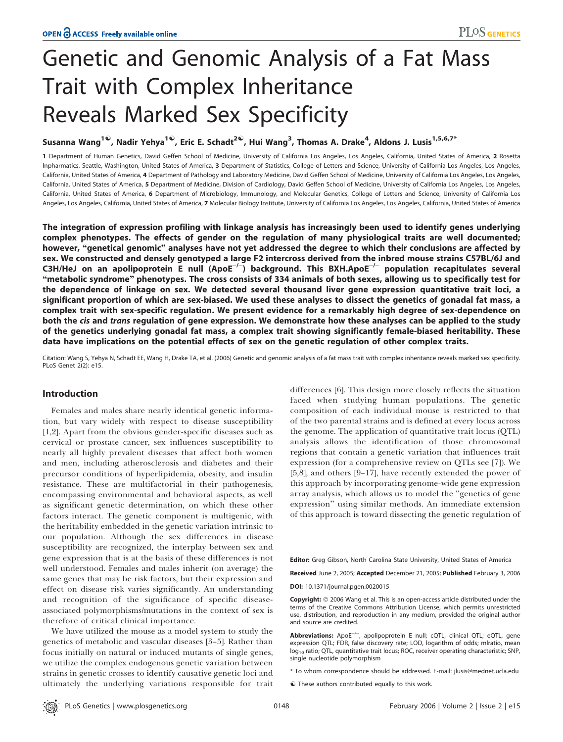# Genetic and Genomic Analysis of a Fat Mass Trait with Complex Inheritance Reveals Marked Sex Specificity

# Susanna Wang<sup>1©</sup>, Nadir Yehya<sup>1©</sup>, Eric E. Schadt<sup>2©</sup>, Hui Wang<sup>3</sup>, Thomas A. Drake<sup>4</sup>, Aldons J. Lusis<sup>1,5,6,7\*</sup>

1 Department of Human Genetics, David Geffen School of Medicine, University of California Los Angeles, Los Angeles, California, United States of America, 2 Rosetta Inpharmatics, Seattle, Washington, United States of America, 3 Department of Statistics, College of Letters and Science, University of California Los Angeles, Los Angeles, California, United States of America, 4 Department of Pathology and Laboratory Medicine, David Geffen School of Medicine, University of California Los Angeles, Los Angeles, California, United States of America, 5 Department of Medicine, Division of Cardiology, David Geffen School of Medicine, University of California Los Angeles, Los Angeles, California, United States of America, 6 Department of Microbiology, Immunology, and Molecular Genetics, College of Letters and Science, University of California Los Angeles, Los Angeles, California, United States of America, 7 Molecular Biology Institute, University of California Los Angeles, Los Angeles, California, United States of America

The integration of expression profiling with linkage analysis has increasingly been used to identify genes underlying complex phenotypes. The effects of gender on the regulation of many physiological traits are well documented; however, ''genetical genomic'' analyses have not yet addressed the degree to which their conclusions are affected by sex. We constructed and densely genotyped a large F2 intercross derived from the inbred mouse strains C57BL/6J and C3H/HeJ on an apolipoprotein E null (ApoE<sup>-/-</sup>) background. This BXH.ApoE<sup>-/-</sup> population recapitulates several ''metabolic syndrome'' phenotypes. The cross consists of 334 animals of both sexes, allowing us to specifically test for the dependence of linkage on sex. We detected several thousand liver gene expression quantitative trait loci, a significant proportion of which are sex-biased. We used these analyses to dissect the genetics of gonadal fat mass, a complex trait with sex-specific regulation. We present evidence for a remarkably high degree of sex-dependence on both the cis and trans regulation of gene expression. We demonstrate how these analyses can be applied to the study of the genetics underlying gonadal fat mass, a complex trait showing significantly female-biased heritability. These data have implications on the potential effects of sex on the genetic regulation of other complex traits.

Citation: Wang S, Yehya N, Schadt EE, Wang H, Drake TA, et al. (2006) Genetic and genomic analysis of a fat mass trait with complex inheritance reveals marked sex specificity. PLoS Genet 2(2): e15.

# Introduction

Females and males share nearly identical genetic information, but vary widely with respect to disease susceptibility [1,2]. Apart from the obvious gender-specific diseases such as cervical or prostate cancer, sex influences susceptibility to nearly all highly prevalent diseases that affect both women and men, including atherosclerosis and diabetes and their precursor conditions of hyperlipidemia, obesity, and insulin resistance. These are multifactorial in their pathogenesis, encompassing environmental and behavioral aspects, as well as significant genetic determination, on which these other factors interact. The genetic component is multigenic, with the heritability embedded in the genetic variation intrinsic to our population. Although the sex differences in disease susceptibility are recognized, the interplay between sex and gene expression that is at the basis of these differences is not well understood. Females and males inherit (on average) the same genes that may be risk factors, but their expression and effect on disease risk varies significantly. An understanding and recognition of the significance of specific diseaseassociated polymorphisms/mutations in the context of sex is therefore of critical clinical importance.

We have utilized the mouse as a model system to study the genetics of metabolic and vascular diseases [3–5]. Rather than focus initially on natural or induced mutants of single genes, we utilize the complex endogenous genetic variation between strains in genetic crosses to identify causative genetic loci and ultimately the underlying variations responsible for trait differences [6]. This design more closely reflects the situation faced when studying human populations. The genetic composition of each individual mouse is restricted to that of the two parental strains and is defined at every locus across the genome. The application of quantitative trait locus (QTL) analysis allows the identification of those chromosomal regions that contain a genetic variation that influences trait expression (for a comprehensive review on QTLs see [7]). We [5,8], and others [9–17], have recently extended the power of this approach by incorporating genome-wide gene expression array analysis, which allows us to model the ''genetics of gene expression'' using similar methods. An immediate extension of this approach is toward dissecting the genetic regulation of

Editor: Greg Gibson, North Carolina State University, United States of America

Received June 2, 2005; Accepted December 21, 2005; Published February 3, 2006

DOI: 10.1371/journal.pgen.0020015

Copyright:  $\odot$  2006 Wang et al. This is an open-access article distributed under the terms of the Creative Commons Attribution License, which permits unrestricted use, distribution, and reproduction in any medium, provided the original author and source are credited.

Abbreviations:  $ApoE^{-/-}$ , apolipoprotein E null; cQTL, clinical QTL; eQTL, gene expression QTL; FDR, false discovery rate; LOD, logarithm of odds; mlratio, mean log<sub>10</sub> ratio; QTL, quantitative trait locus; ROC, receiver operating characteristic; SNP, single nucleotide polymorphism

\* To whom correspondence should be addressed. E-mail: jlusis@mednet.ucla.edu

 $\bullet$  These authors contributed equally to this work.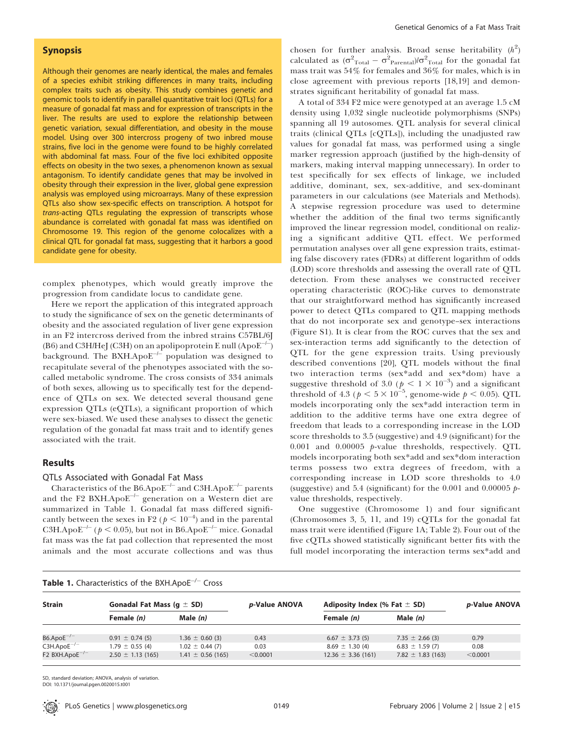## Synopsis

Although their genomes are nearly identical, the males and females of a species exhibit striking differences in many traits, including complex traits such as obesity. This study combines genetic and genomic tools to identify in parallel quantitative trait loci (QTLs) for a measure of gonadal fat mass and for expression of transcripts in the liver. The results are used to explore the relationship between genetic variation, sexual differentiation, and obesity in the mouse model. Using over 300 intercross progeny of two inbred mouse strains, five loci in the genome were found to be highly correlated with abdominal fat mass. Four of the five loci exhibited opposite effects on obesity in the two sexes, a phenomenon known as sexual antagonism. To identify candidate genes that may be involved in obesity through their expression in the liver, global gene expression analysis was employed using microarrays. Many of these expression QTLs also show sex-specific effects on transcription. A hotspot for trans-acting QTLs regulating the expression of transcripts whose abundance is correlated with gonadal fat mass was identified on Chromosome 19. This region of the genome colocalizes with a clinical QTL for gonadal fat mass, suggesting that it harbors a good candidate gene for obesity.

complex phenotypes, which would greatly improve the progression from candidate locus to candidate gene.

Here we report the application of this integrated approach to study the significance of sex on the genetic determinants of obesity and the associated regulation of liver gene expression in an F2 intercross derived from the inbred strains C57BL/6J (B6) and C3H/HeJ (C3H) on an apolipoprotein E null  $(ApoE^{-/-})$ background. The BXH.Apo $E^{-/-}$  population was designed to recapitulate several of the phenotypes associated with the socalled metabolic syndrome. The cross consists of 334 animals of both sexes, allowing us to specifically test for the dependence of QTLs on sex. We detected several thousand gene expression QTLs (eQTLs), a significant proportion of which were sex-biased. We used these analyses to dissect the genetic regulation of the gonadal fat mass trait and to identify genes associated with the trait.

## Results

## QTLs Associated with Gonadal Fat Mass

Characteristics of the B6.Apo $E^{-/-}$  and C3H.Apo $E^{-/-}$  parents and the F2 BXH.Apo $E^{-/-}$  generation on a Western diet are summarized in Table 1. Gonadal fat mass differed significantly between the sexes in F2 ( $p < 10^{-4}$ ) and in the parental C3H.Apo $E^{-/-}$  ( $p < 0.05$ ), but not in B6.Apo $E^{-/-}$  mice. Gonadal fat mass was the fat pad collection that represented the most animals and the most accurate collections and was thus

chosen for further analysis. Broad sense heritability  $(h^2)$ calculated as  $(\sigma^2_{\rm Total} - \sigma^2_{\rm {~Parental}})/\sigma^2_{\rm {~Total}}$  for the gonadal fat mass trait was 54% for females and 36% for males, which is in close agreement with previous reports [18,19] and demonstrates significant heritability of gonadal fat mass.

A total of 334 F2 mice were genotyped at an average 1.5 cM density using 1,032 single nucleotide polymorphisms (SNPs) spanning all 19 autosomes. QTL analysis for several clinical traits (clinical QTLs [cQTLs]), including the unadjusted raw values for gonadal fat mass, was performed using a single marker regression approach (justified by the high-density of markers, making interval mapping unnecessary). In order to test specifically for sex effects of linkage, we included additive, dominant, sex, sex-additive, and sex-dominant parameters in our calculations (see Materials and Methods). A stepwise regression procedure was used to determine whether the addition of the final two terms significantly improved the linear regression model, conditional on realizing a significant additive QTL effect. We performed permutation analyses over all gene expression traits, estimating false discovery rates (FDRs) at different logarithm of odds (LOD) score thresholds and assessing the overall rate of QTL detection. From these analyses we constructed receiver operating characteristic (ROC)-like curves to demonstrate that our straightforward method has significantly increased power to detect QTLs compared to QTL mapping methods that do not incorporate sex and genotype–sex interactions (Figure S1). It is clear from the ROC curves that the sex and sex-interaction terms add significantly to the detection of QTL for the gene expression traits. Using previously described conventions [20], QTL models without the final two interaction terms (sex\*add and sex\*dom) have a suggestive threshold of 3.0 ( $p < 1 \times 10^{-3}$ ) and a significant threshold of 4.3 ( $p < 5 \times 10^{-5}$ , genome-wide  $p < 0.05$ ). QTL models incorporating only the sex\*add interaction term in addition to the additive terms have one extra degree of freedom that leads to a corresponding increase in the LOD score thresholds to 3.5 (suggestive) and 4.9 (significant) for the 0.001 and 0.00005 p-value thresholds, respectively. QTL models incorporating both sex\*add and sex\*dom interaction terms possess two extra degrees of freedom, with a corresponding increase in LOD score thresholds to 4.0 (suggestive) and 5.4 (significant) for the  $0.001$  and  $0.00005$   $p$ value thresholds, respectively.

One suggestive (Chromosome 1) and four significant (Chromosomes 3, 5, 11, and 19) cQTLs for the gonadal fat mass trait were identified (Figure 1A; Table 2). Four out of the five cQTLs showed statistically significant better fits with the full model incorporating the interaction terms sex\*add and

| Strain                                 | Gonadal Fat Mass ( $q \pm SD$ ) |                       | p-Value ANOVA | Adiposity Index (% Fat $\pm$ SD) |                       | p-Value ANOVA |
|----------------------------------------|---------------------------------|-----------------------|---------------|----------------------------------|-----------------------|---------------|
|                                        | Female (n)                      | Male $(n)$            |               | Female (n)                       | Male $(n)$            |               |
|                                        |                                 |                       |               |                                  |                       |               |
| $B6. \text{ApoE}^{-/-}$                | $0.91 \pm 0.74$ (5)             | $1.36 \pm 0.60$ (3)   | 0.43          | $6.67 \pm 3.73$ (5)              | 7.35 $\pm$ 2.66 (3)   | 0.79          |
| $\mathsf{C3H}$ .Apo $\mathsf{E}^{-/-}$ | $1.79 \pm 0.55$ (4)             | $1.02 \pm 0.44$ (7)   | 0.03          | $8.69 \pm 1.30(4)$               | $6.83 \pm 1.59$ (7)   | 0.08          |
| F2 BXH.Apo $E^{-/-}$                   | $2.50 \pm 1.13$ (165)           | $1.41 \pm 0.56$ (165) | < 0.0001      | $12.36 \pm 3.36$ (161)           | 7.82 $\pm$ 1.83 (163) | < 0.0001      |

**Table 1.** Characteristics of the BXH.ApoE $^{-/-}$  Cross

SD, standard deviation; ANOVA, analysis of variation.

DOI: 10.1371/journal.pgen.0020015.t001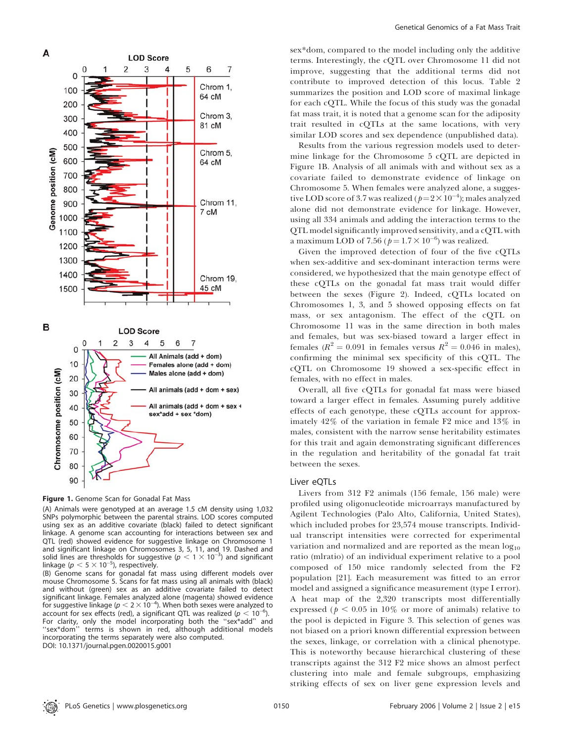

Figure 1. Genome Scan for Gonadal Fat Mass

(A) Animals were genotyped at an average 1.5 cM density using 1,032 SNPs polymorphic between the parental strains. LOD scores computed using sex as an additive covariate (black) failed to detect significant linkage. A genome scan accounting for interactions between sex and QTL (red) showed evidence for suggestive linkage on Chromosome 1 and significant linkage on Chromosomes 3, 5, 11, and 19. Dashed and solid lines are thresholds for suggestive ( $p < 1 \times 10^{-3}$ ) and significant linkage ( $p < 5 \times 10^{-5}$ ), respectively.

(B) Genome scans for gonadal fat mass using different models over mouse Chromosome 5. Scans for fat mass using all animals with (black) and without (green) sex as an additive covariate failed to detect significant linkage. Females analyzed alone (magenta) showed evidence for suggestive linkage ( $p < 2 \times 10^{-4}$ ). When both sexes were analyzed to account for sex effects (red), a significant QTL was realized ( $p < 10^{-6}$ ). For clarity, only the model incorporating both the "sex\*add" and "sex\*dom" terms is shown in red, although additional models incorporating the terms separately were also computed. DOI: 10.1371/journal.pgen.0020015.g001

sex\*dom, compared to the model including only the additive terms. Interestingly, the cQTL over Chromosome 11 did not improve, suggesting that the additional terms did not contribute to improved detection of this locus. Table 2 summarizes the position and LOD score of maximal linkage for each cQTL. While the focus of this study was the gonadal fat mass trait, it is noted that a genome scan for the adiposity trait resulted in cQTLs at the same locations, with very similar LOD scores and sex dependence (unpublished data).

Results from the various regression models used to determine linkage for the Chromosome 5 cQTL are depicted in Figure 1B. Analysis of all animals with and without sex as a covariate failed to demonstrate evidence of linkage on Chromosome 5. When females were analyzed alone, a suggestive LOD score of 3.7 was realized ( $p=2\times10^{-4}$ ); males analyzed alone did not demonstrate evidence for linkage. However, using all 334 animals and adding the interaction terms to the QTL model significantly improved sensitivity, and a cQTL with a maximum LOD of 7.56 ( $p = 1.7 \times 10^{-6}$ ) was realized.

Given the improved detection of four of the five cQTLs when sex-additive and sex-dominant interaction terms were considered, we hypothesized that the main genotype effect of these cQTLs on the gonadal fat mass trait would differ between the sexes (Figure 2). Indeed, cQTLs located on Chromosomes 1, 3, and 5 showed opposing effects on fat mass, or sex antagonism. The effect of the cQTL on Chromosome 11 was in the same direction in both males and females, but was sex-biased toward a larger effect in females ( $R^2 = 0.091$  in females versus  $R^2 = 0.046$  in males), confirming the minimal sex specificity of this cQTL. The cQTL on Chromosome 19 showed a sex-specific effect in females, with no effect in males.

Overall, all five cQTLs for gonadal fat mass were biased toward a larger effect in females. Assuming purely additive effects of each genotype, these cQTLs account for approximately 42% of the variation in female F2 mice and 13% in males, consistent with the narrow sense heritability estimates for this trait and again demonstrating significant differences in the regulation and heritability of the gonadal fat trait between the sexes.

## Liver eQTLs

Livers from 312 F2 animals (156 female, 156 male) were profiled using oligonucleotide microarrays manufactured by Agilent Technologies (Palo Alto, California, United States), which included probes for 23,574 mouse transcripts. Individual transcript intensities were corrected for experimental variation and normalized and are reported as the mean  $log_{10}$ ratio (mlratio) of an individual experiment relative to a pool composed of 150 mice randomly selected from the F2 population [21]. Each measurement was fitted to an error model and assigned a significance measurement (type I error). A heat map of the 2,320 transcripts most differentially expressed ( $p < 0.05$  in 10% or more of animals) relative to the pool is depicted in Figure 3. This selection of genes was not biased on a priori known differential expression between the sexes, linkage, or correlation with a clinical phenotype. This is noteworthy because hierarchical clustering of these transcripts against the 312 F2 mice shows an almost perfect clustering into male and female subgroups, emphasizing striking effects of sex on liver gene expression levels and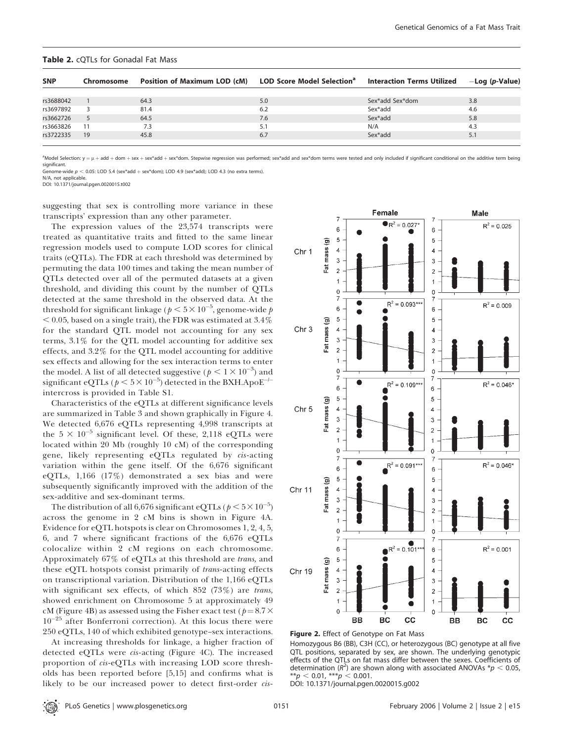| <b>SNP</b> | Chromosome | Position of Maximum LOD (cM) | <b>LOD Score Model Selection</b> <sup>a</sup> | <b>Interaction Terms Utilized</b> | $-Log(p-Value)$ |
|------------|------------|------------------------------|-----------------------------------------------|-----------------------------------|-----------------|
|            |            |                              |                                               |                                   |                 |
| rs3688042  |            | 64.3                         | 5.0                                           | Sex*add Sex*dom                   | 3.8             |
| rs3697892  |            | 81.4                         | 6.2                                           | Sex*add                           | 4.6             |
| rs3662726  |            | 64.5                         | 7.6                                           | Sex*add                           | 5.8             |
| rs3663826  | 11         | 7.3                          | 5.1                                           | N/A                               | 4.3             |
| rs3722335  | 19         | 45.8                         | 6.7                                           | Sex*add                           | 5.1             |
|            |            |                              |                                               |                                   |                 |

#### Table 2. cOTLs for Gonadal Fat Mass

a<br>Model Selection: y = µ + add + dom + sex + sex\*add + sex\*dom. Stepwise regression was performed; sex\*add and sex\*dom terms were tested and only included if significant conditional on the additive term being significant.

Genome-wide  $p < 0.05$ : LOD 5.4 (sex\*add + sex\*dom); LOD 4.9 (sex\*add); LOD 4.3 (no extra terms). N/A, not applicable.

DOI: 10.1371/journal.pgen.0020015.t002

suggesting that sex is controlling more variance in these transcripts' expression than any other parameter.

The expression values of the 23,574 transcripts were treated as quantitative traits and fitted to the same linear regression models used to compute LOD scores for clinical traits (eQTLs). The FDR at each threshold was determined by permuting the data 100 times and taking the mean number of QTLs detected over all of the permuted datasets at a given threshold, and dividing this count by the number of QTLs detected at the same threshold in the observed data. At the threshold for significant linkage (  $p < 5 \times 10^{-5}$ , genome-wide  $p$  $<$  0.05, based on a single trait), the FDR was estimated at 3.4% for the standard QTL model not accounting for any sex terms, 3.1% for the QTL model accounting for additive sex effects, and 3.2% for the QTL model accounting for additive sex effects and allowing for the sex interaction terms to enter the model. A list of all detected suggestive ( $p < 1 \times 10^{-3}$ ) and significant eQTLs ( $p < 5 \times 10^{-5}$ ) detected in the BXH.ApoE<sup>-1-</sup> intercross is provided in Table S1.

Characteristics of the eQTLs at different significance levels are summarized in Table 3 and shown graphically in Figure 4. We detected 6,676 eQTLs representing 4,998 transcripts at the  $5 \times 10^{-5}$  significant level. Of these, 2,118 eQTLs were located within 20 Mb (roughly 10 cM) of the corresponding gene, likely representing eQTLs regulated by cis-acting variation within the gene itself. Of the 6,676 significant eQTLs, 1,166 (17%) demonstrated a sex bias and were subsequently significantly improved with the addition of the sex-additive and sex-dominant terms.

The distribution of all 6,676 significant eQTLs (  $p$   $<$   $5\times10^{-5})$ across the genome in 2 cM bins is shown in Figure 4A. Evidence for eQTL hotspots is clear on Chromosomes 1, 2, 4, 5, 6, and 7 where significant fractions of the 6,676 eQTLs colocalize within 2 cM regions on each chromosome. Approximately 67% of eQTLs at this threshold are trans, and these eQTL hotspots consist primarily of trans-acting effects on transcriptional variation. Distribution of the 1,166 eQTLs with significant sex effects, of which 852 (73%) are trans, showed enrichment on Chromosome 5 at approximately 49 cM (Figure 4B) as assessed using the Fisher exact test ( $p=8.7\times$  $10^{-25}$  after Bonferroni correction). At this locus there were 250 eQTLs, 140 of which exhibited genotype–sex interactions.

At increasing thresholds for linkage, a higher fraction of detected eQTLs were *cis*-acting (Figure 4C). The increased proportion of *cis*-eQTLs with increasing LOD score thresholds has been reported before [5,15] and confirms what is likely to be our increased power to detect first-order cis-



Figure 2. Effect of Genotype on Fat Mass

Homozygous B6 (BB), C3H (CC), or heterozygous (BC) genotype at all five QTL positions, separated by sex, are shown. The underlying genotypic effects of the QTLs on fat mass differ between the sexes. Coefficients of determination  $(R^2)$  are shown along with associated ANOVAs  $^*p < 0.05$ ,  $**p < 0.01$ ,  $***p < 0.001$ .

DOI: 10.1371/journal.pgen.0020015.g002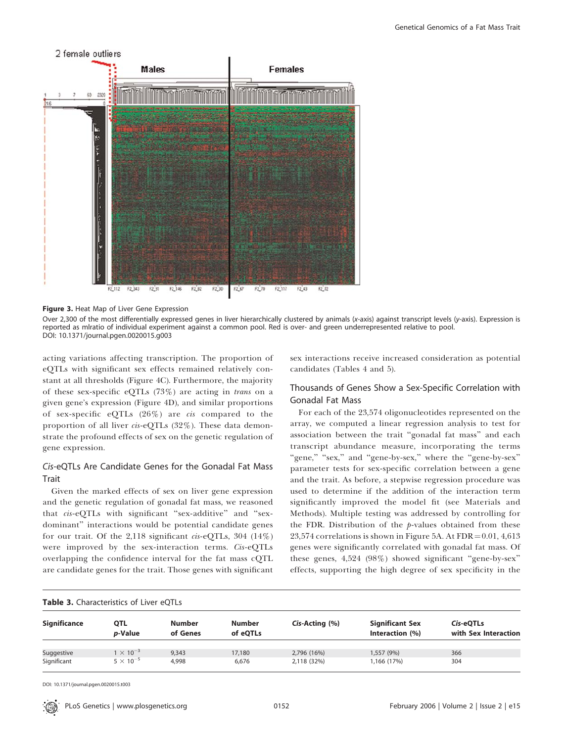

Figure 3. Heat Map of Liver Gene Expression

Over 2,300 of the most differentially expressed genes in liver hierarchically clustered by animals (x-axis) against transcript levels (y-axis). Expression is reported as mlratio of individual experiment against a common pool. Red is over- and green underrepresented relative to pool. DOI: 10.1371/journal.pgen.0020015.g003

acting variations affecting transcription. The proportion of eQTLs with significant sex effects remained relatively constant at all thresholds (Figure 4C). Furthermore, the majority of these sex-specific eQTLs (73%) are acting in trans on a given gene's expression (Figure 4D), and similar proportions of sex-specific eQTLs  $(26\%)$  are *cis* compared to the proportion of all liver  $cis$ -eQTLs (32%). These data demonstrate the profound effects of sex on the genetic regulation of gene expression.

# Cis-eQTLs Are Candidate Genes for the Gonadal Fat Mass **Trait**

Given the marked effects of sex on liver gene expression and the genetic regulation of gonadal fat mass, we reasoned that cis-eQTLs with significant "sex-additive" and "sexdominant'' interactions would be potential candidate genes for our trait. Of the 2,118 significant  $cis$ -eQTLs, 304 (14%) were improved by the sex-interaction terms. Cis-eQTLs overlapping the confidence interval for the fat mass cQTL are candidate genes for the trait. Those genes with significant

sex interactions receive increased consideration as potential candidates (Tables 4 and 5).

# Thousands of Genes Show a Sex-Specific Correlation with Gonadal Fat Mass

For each of the 23,574 oligonucleotides represented on the array, we computed a linear regression analysis to test for association between the trait ''gonadal fat mass'' and each transcript abundance measure, incorporating the terms "gene," "sex," and "gene-by-sex," where the "gene-by-sex" parameter tests for sex-specific correlation between a gene and the trait. As before, a stepwise regression procedure was used to determine if the addition of the interaction term significantly improved the model fit (see Materials and Methods). Multiple testing was addressed by controlling for the FDR. Distribution of the  $p$ -values obtained from these 23,574 correlations is shown in Figure 5A. At  $FDR = 0.01, 4,613$ genes were significantly correlated with gonadal fat mass. Of these genes, 4,524 (98%) showed significant ''gene-by-sex'' effects, supporting the high degree of sex specificity in the

|  | Table 3. Characteristics of Liver eQTLs |  |  |  |
|--|-----------------------------------------|--|--|--|
|--|-----------------------------------------|--|--|--|

| <b>Significance</b> | QTL                | <b>Number</b> | <b>Number</b> | Cis-Acting (%) | <b>Significant Sex</b> | Cis-eOTLs            |
|---------------------|--------------------|---------------|---------------|----------------|------------------------|----------------------|
|                     | <i>p</i> -Value    | of Genes      | of eQTLs      |                | Interaction (%)        | with Sex Interaction |
| Suggestive          | $1 \times 10^{-3}$ | 9,343         | 17,180        | 2,796 (16%)    | 1,557 (9%)             | 366                  |
| Significant         | $5 \times 10^{-5}$ | 4,998         | 6,676         | 2,118 (32%)    | 1,166 (17%)            | 304                  |

DOI: 10.1371/journal.pgen.0020015.t003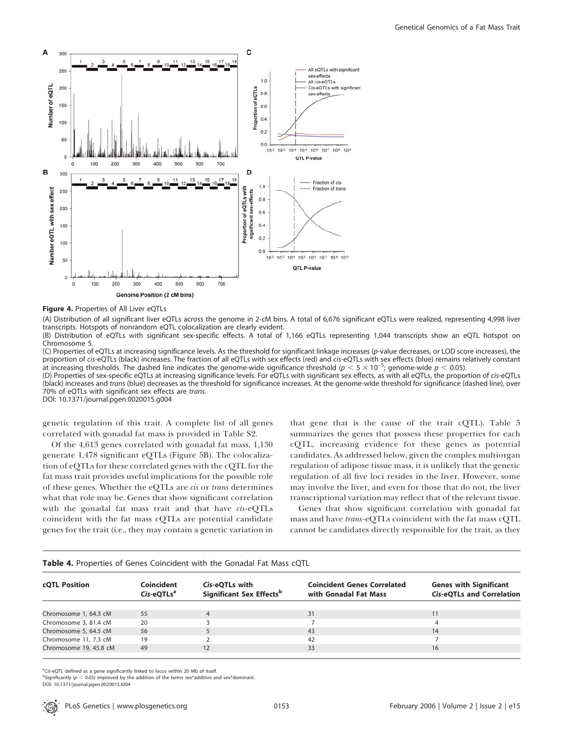

Figure 4. Properties of All Liver eQTLs

(A) Distribution of all significant liver eQTLs across the genome in 2-cM bins. A total of 6,676 significant eQTLs were realized, representing 4,998 liver transcripts. Hotspots of nonrandom eQTL colocalization are clearly evident.

(B) Distribution of eQTLs with significant sex-specific effects. A total of 1,166 eQTLs representing 1,044 transcripts show an eQTL hotspot on Chromosome 5.

(C) Properties of eQTLs at increasing significance levels. As the threshold for significant linkage increases (p-value decreases, or LOD score increases), the proportion of cis-eQTLs (black) increases. The fraction of all eQTLs with sex effects (red) and cis-eQTLs with sex effects (blue) remains relatively constant at increasing thresholds. The dashed line indicates the genome-wide significance threshold ( $p < 5 \times 10^{-5}$ ; genome-wide  $p < 0.05$ ).

(D) Properties of sex-specific eQTLs at increasing significance levels. For eQTLs with significant sex effects, as with all eQTLs, the proportion of cis-eQTLs (black) increases and trans (blue) decreases as the threshold for significance increases. At the genome-wide threshold for significance (dashed line), over 70% of eQTLs with significant sex effects are trans.

DOI: 10.1371/journal.pgen.0020015.g004

genetic regulation of this trait. A complete list of all genes correlated with gonadal fat mass is provided in Table S2.

Of the 4,613 genes correlated with gonadal fat mass, 1,130 generate 1,478 significant eQTLs (Figure 5B). The colocalization of eQTLs for these correlated genes with the cQTL for the fat mass trait provides useful implications for the possible role of these genes. Whether the eQTLs are cis or trans determines what that role may be. Genes that show significant correlation with the gonadal fat mass trait and that have cis-eQTLs coincident with the fat mass cQTLs are potential candidate genes for the trait (i.e., they may contain a genetic variation in

that gene that is the cause of the trait cQTL). Table 5 summarizes the genes that possess these properties for each cQTL, increasing evidence for these genes as potential candidates. As addressed below, given the complex multiorgan regulation of adipose tissue mass, it is unlikely that the genetic regulation of all five loci resides in the liver. However, some may involve the liver, and even for those that do not, the liver transcriptional variation may reflect that of the relevant tissue.

Genes that show significant correlation with gonadal fat mass and have trans-eQTLs coincident with the fat mass cQTL cannot be candidates directly responsible for the trait, as they

| <b>Table 4.</b> Properties of Genes Coincident with the Gonadal Fat Mass cQTL |                                         |                                                        |                                                             |                                                                   |  |  |
|-------------------------------------------------------------------------------|-----------------------------------------|--------------------------------------------------------|-------------------------------------------------------------|-------------------------------------------------------------------|--|--|
| <b>cOTL Position</b>                                                          | Coincident<br>$Cis$ -eOTLs <sup>a</sup> | Cis-eQTLs with<br>Significant Sex Effects <sup>b</sup> | <b>Coincident Genes Correlated</b><br>with Gonadal Fat Mass | <b>Genes with Significant</b><br><b>Cis-eQTLs and Correlation</b> |  |  |
|                                                                               |                                         |                                                        |                                                             |                                                                   |  |  |
| Chromosome 1, 64.3 cM                                                         | 55                                      | 4                                                      | 31                                                          | 11                                                                |  |  |
| Chromosome 3, 81.4 cM                                                         | 20                                      |                                                        |                                                             |                                                                   |  |  |
| Chromosome 5, 64.5 cM                                                         | 56                                      |                                                        | 43                                                          | 14                                                                |  |  |
| Chromosome 11, 7.3 cM                                                         | 19                                      |                                                        | 42                                                          |                                                                   |  |  |
| Chromosome 19, 45.8 cM                                                        | 49                                      | 12                                                     | 33                                                          | 16                                                                |  |  |

<sup>a</sup>Cis-eQTL defined as a gene significantly linked to locus within 20 Mb of itself.

b Significantly ( $p < 0.05$ ) improved by the addition of the terms sex\*additive and sex\*dominant.

DOI: 10.1371/journal.pgen.0020015.t004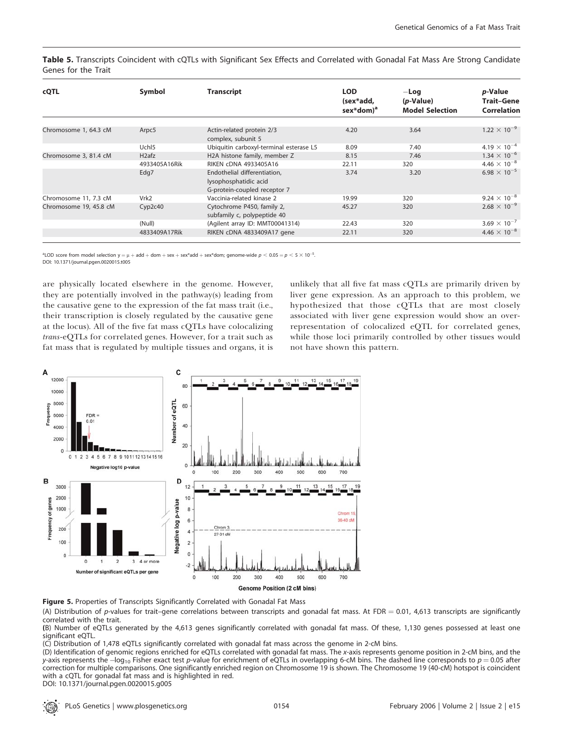Table 5. Transcripts Coincident with cQTLs with Significant Sex Effects and Correlated with Gonadal Fat Mass Are Strong Candidate Genes for the Trait

| <b>cQTL</b>            | Symbol             | <b>Transcript</b>                                                                     | <b>LOD</b><br>(sex*add,<br>sex*dom) <sup>a</sup> | —Loq<br>(p-Value)<br><b>Model Selection</b> | <i>p</i> -Value<br><b>Trait-Gene</b><br><b>Correlation</b> |
|------------------------|--------------------|---------------------------------------------------------------------------------------|--------------------------------------------------|---------------------------------------------|------------------------------------------------------------|
| Chromosome 1, 64.3 cM  | Arpc <sub>5</sub>  | Actin-related protein 2/3<br>complex, subunit 5                                       | 4.20                                             | 3.64                                        | $1.22 \times 10^{-9}$                                      |
|                        | Uch <sub>15</sub>  | Ubiquitin carboxyl-terminal esterase L5                                               | 8.09                                             | 7.40                                        | 4.19 $\times$ 10 <sup>-4</sup>                             |
| Chromosome 3, 81.4 cM  | H <sub>2</sub> afz | H2A histone family, member Z                                                          | 8.15                                             | 7.46                                        | $1.34 \times 10^{-6}$                                      |
|                        | 4933405A16Rik      | RIKEN cDNA 4933405A16                                                                 | 22.11                                            | 320                                         | $4.46 \times 10^{-8}$                                      |
|                        | Edg7               | Endothelial differentiation,<br>lysophosphatidic acid<br>G-protein-coupled receptor 7 | 3.74                                             | 3.20                                        | $6.98 \times 10^{-5}$                                      |
| Chromosome 11, 7.3 cM  | Vrk <sub>2</sub>   | Vaccinia-related kinase 2                                                             | 19.99                                            | 320                                         | $9.24 \times 10^{-8}$                                      |
| Chromosome 19, 45.8 cM | Cyp2c40            | Cytochrome P450, family 2,<br>subfamily c, polypeptide 40                             | 45.27                                            | 320                                         | $2.68 \times 10^{-9}$                                      |
|                        | (Null)             | (Agilent array ID: MMT00041314)                                                       | 22.43                                            | 320                                         | $3.69 \times 10^{-7}$                                      |
|                        | 4833409A17Rik      | RIKEN cDNA 4833409A17 gene                                                            | 22.11                                            | 320                                         | 4.46 $\times$ 10 <sup>-8</sup>                             |

<sup>a</sup>LOD score from model selection y LOD score from model selection y =  $\mu$  + add + dom + sex + sex\*add + sex\*dom; genome-wide  $p < 0.05$  =  $p < 5 \times 10^{-5}$ . DOI: 10.1371/journal.pgen.0020015.t005

are physically located elsewhere in the genome. However, they are potentially involved in the pathway(s) leading from the causative gene to the expression of the fat mass trait (i.e., their transcription is closely regulated by the causative gene at the locus). All of the five fat mass cQTLs have colocalizing trans-eQTLs for correlated genes. However, for a trait such as fat mass that is regulated by multiple tissues and organs, it is

unlikely that all five fat mass cQTLs are primarily driven by liver gene expression. As an approach to this problem, we hypothesized that those cQTLs that are most closely associated with liver gene expression would show an overrepresentation of colocalized eQTL for correlated genes, while those loci primarily controlled by other tissues would not have shown this pattern.



Figure 5. Properties of Transcripts Significantly Correlated with Gonadal Fat Mass

(A) Distribution of p-values for trait–gene correlations between transcripts and gonadal fat mass. At FDR = 0.01, 4,613 transcripts are significantly correlated with the trait.

(B) Number of eQTLs generated by the 4,613 genes significantly correlated with gonadal fat mass. Of these, 1,130 genes possessed at least one significant eQTL.

(C) Distribution of 1,478 eQTLs significantly correlated with gonadal fat mass across the genome in 2-cM bins.

(D) Identification of genomic regions enriched for eQTLs correlated with gonadal fat mass. The x-axis represents genome position in 2-cM bins, and the y-axis represents the  $-\log_{10}$  Fisher exact test p-value for enrichment of eQTLs in overlapping 6-cM bins. The dashed line corresponds to  $p = 0.05$  after correction for multiple comparisons. One significantly enriched region on Chromosome 19 is shown. The Chromosome 19 (40-cM) hotspot is coincident with a cQTL for gonadal fat mass and is highlighted in red.

DOI: 10.1371/journal.pgen.0020015.g005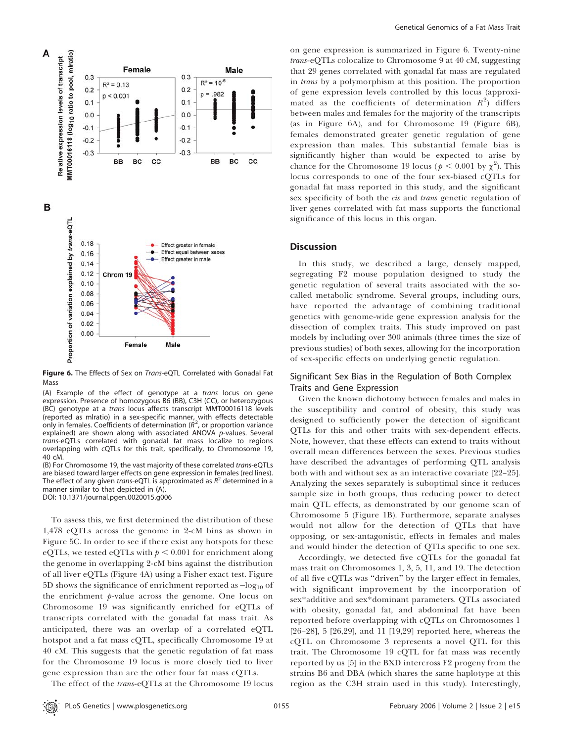

Figure 6. The Effects of Sex on Trans-eQTL Correlated with Gonadal Fat Mass

(A) Example of the effect of genotype at a trans locus on gene expression. Presence of homozygous B6 (BB), C3H (CC), or heterozygous (BC) genotype at a trans locus affects transcript MMT00016118 levels (reported as mlratio) in a sex-specific manner, with effects detectable only in females. Coefficients of determination  $(R^2)$ , or proportion variance explained) are shown along with associated ANOVA  $p$ -values. Several trans-eQTLs correlated with gonadal fat mass localize to regions overlapping with cQTLs for this trait, specifically, to Chromosome 19, 40 cM.

(B) For Chromosome 19, the vast majority of these correlated trans-eQTLs are biased toward larger effects on gene expression in females (red lines). The effect of any given trans-eQTL is approximated as  $R^2$  determined in a manner similar to that depicted in (A).

DOI: 10.1371/journal.pgen.0020015.g006

To assess this, we first determined the distribution of these 1,478 eQTLs across the genome in 2-cM bins as shown in Figure 5C. In order to see if there exist any hotspots for these eQTLs, we tested eQTLs with  $p < 0.001$  for enrichment along the genome in overlapping 2-cM bins against the distribution of all liver eQTLs (Figure 4A) using a Fisher exact test. Figure 5D shows the significance of enrichment reported as  $-\log_{10}$  of the enrichment  $p$ -value across the genome. One locus on Chromosome 19 was significantly enriched for eQTLs of transcripts correlated with the gonadal fat mass trait. As anticipated, there was an overlap of a correlated eQTL hotspot and a fat mass cQTL, specifically Chromosome 19 at 40 cM. This suggests that the genetic regulation of fat mass for the Chromosome 19 locus is more closely tied to liver gene expression than are the other four fat mass cQTLs.

The effect of the trans-eQTLs at the Chromosome 19 locus

on gene expression is summarized in Figure 6. Twenty-nine trans-eQTLs colocalize to Chromosome 9 at 40 cM, suggesting that 29 genes correlated with gonadal fat mass are regulated in trans by a polymorphism at this position. The proportion of gene expression levels controlled by this locus (approximated as the coefficients of determination  $R^2$ ) differs between males and females for the majority of the transcripts (as in Figure 6A), and for Chromosome 19 (Figure 6B), females demonstrated greater genetic regulation of gene expression than males. This substantial female bias is significantly higher than would be expected to arise by chance for the Chromosome 19 locus ( $p < 0.001$  by  $\chi^2$ ). This locus corresponds to one of the four sex-biased cQTLs for gonadal fat mass reported in this study, and the significant sex specificity of both the *cis* and *trans* genetic regulation of liver genes correlated with fat mass supports the functional significance of this locus in this organ.

## **Discussion**

In this study, we described a large, densely mapped, segregating F2 mouse population designed to study the genetic regulation of several traits associated with the socalled metabolic syndrome. Several groups, including ours, have reported the advantage of combining traditional genetics with genome-wide gene expression analysis for the dissection of complex traits. This study improved on past models by including over 300 animals (three times the size of previous studies) of both sexes, allowing for the incorporation of sex-specific effects on underlying genetic regulation.

# Significant Sex Bias in the Regulation of Both Complex Traits and Gene Expression

Given the known dichotomy between females and males in the susceptibility and control of obesity, this study was designed to sufficiently power the detection of significant QTLs for this and other traits with sex-dependent effects. Note, however, that these effects can extend to traits without overall mean differences between the sexes. Previous studies have described the advantages of performing QTL analysis both with and without sex as an interactive covariate [22–25]. Analyzing the sexes separately is suboptimal since it reduces sample size in both groups, thus reducing power to detect main QTL effects, as demonstrated by our genome scan of Chromosome 5 (Figure 1B). Furthermore, separate analyses would not allow for the detection of QTLs that have opposing, or sex-antagonistic, effects in females and males and would hinder the detection of QTLs specific to one sex.

Accordingly, we detected five cQTLs for the gonadal fat mass trait on Chromosomes 1, 3, 5, 11, and 19. The detection of all five cQTLs was ''driven'' by the larger effect in females, with significant improvement by the incorporation of sex\*additive and sex\*dominant parameters. QTLs associated with obesity, gonadal fat, and abdominal fat have been reported before overlapping with cQTLs on Chromosomes 1 [26–28], 5 [26,29], and 11 [19,29] reported here, whereas the cQTL on Chromosome 3 represents a novel QTL for this trait. The Chromosome 19 cQTL for fat mass was recently reported by us [5] in the BXD intercross F2 progeny from the strains B6 and DBA (which shares the same haplotype at this region as the C3H strain used in this study). Interestingly,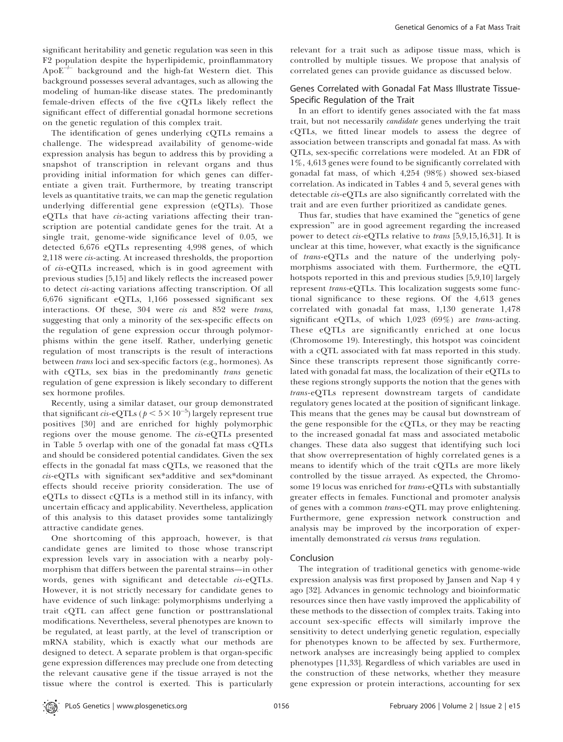significant heritability and genetic regulation was seen in this F2 population despite the hyperlipidemic, proinflammatory  $ApoE^{-/-}$  background and the high-fat Western diet. This background possesses several advantages, such as allowing the modeling of human-like disease states. The predominantly female-driven effects of the five cQTLs likely reflect the significant effect of differential gonadal hormone secretions on the genetic regulation of this complex trait.

The identification of genes underlying cQTLs remains a challenge. The widespread availability of genome-wide expression analysis has begun to address this by providing a snapshot of transcription in relevant organs and thus providing initial information for which genes can differentiate a given trait. Furthermore, by treating transcript levels as quantitative traits, we can map the genetic regulation underlying differential gene expression (eQTLs). Those eQTLs that have cis-acting variations affecting their transcription are potential candidate genes for the trait. At a single trait, genome-wide significance level of 0.05, we detected 6,676 eQTLs representing 4,998 genes, of which 2,118 were cis-acting. At increased thresholds, the proportion of cis-eQTLs increased, which is in good agreement with previous studies [5,15] and likely reflects the increased power to detect cis-acting variations affecting transcription. Of all 6,676 significant eQTLs, 1,166 possessed significant sex interactions. Of these, 304 were *cis* and 852 were trans, suggesting that only a minority of the sex-specific effects on the regulation of gene expression occur through polymorphisms within the gene itself. Rather, underlying genetic regulation of most transcripts is the result of interactions between trans loci and sex-specific factors (e.g., hormones). As with cQTLs, sex bias in the predominantly trans genetic regulation of gene expression is likely secondary to different sex hormone profiles.

Recently, using a similar dataset, our group demonstrated that significant  $\epsilon i$ s-eQTLs ( $p < 5 \times 10^{-5}$ ) largely represent true positives [30] and are enriched for highly polymorphic regions over the mouse genome. The *cis*-eQTLs presented in Table 5 overlap with one of the gonadal fat mass cQTLs and should be considered potential candidates. Given the sex effects in the gonadal fat mass cQTLs, we reasoned that the cis-eQTLs with significant sex\*additive and sex\*dominant effects should receive priority consideration. The use of eQTLs to dissect cQTLs is a method still in its infancy, with uncertain efficacy and applicability. Nevertheless, application of this analysis to this dataset provides some tantalizingly attractive candidate genes.

One shortcoming of this approach, however, is that candidate genes are limited to those whose transcript expression levels vary in association with a nearby polymorphism that differs between the parental strains—in other words, genes with significant and detectable *cis*-eQTLs. However, it is not strictly necessary for candidate genes to have evidence of such linkage: polymorphisms underlying a trait cQTL can affect gene function or posttranslational modifications. Nevertheless, several phenotypes are known to be regulated, at least partly, at the level of transcription or mRNA stability, which is exactly what our methods are designed to detect. A separate problem is that organ-specific gene expression differences may preclude one from detecting the relevant causative gene if the tissue arrayed is not the tissue where the control is exerted. This is particularly

relevant for a trait such as adipose tissue mass, which is controlled by multiple tissues. We propose that analysis of correlated genes can provide guidance as discussed below.

# Genes Correlated with Gonadal Fat Mass Illustrate Tissue-Specific Regulation of the Trait

In an effort to identify genes associated with the fat mass trait, but not necessarily candidate genes underlying the trait cQTLs, we fitted linear models to assess the degree of association between transcripts and gonadal fat mass. As with QTLs, sex-specific correlations were modeled. At an FDR of 1%, 4,613 genes were found to be significantly correlated with gonadal fat mass, of which 4,254 (98%) showed sex-biased correlation. As indicated in Tables 4 and 5, several genes with detectable cis-eQTLs are also significantly correlated with the trait and are even further prioritized as candidate genes.

Thus far, studies that have examined the ''genetics of gene expression'' are in good agreement regarding the increased power to detect cis-eQTLs relative to trans [5,9,15,16,31]. It is unclear at this time, however, what exactly is the significance of trans-eQTLs and the nature of the underlying polymorphisms associated with them. Furthermore, the eQTL hotspots reported in this and previous studies [5,9,10] largely represent trans-eQTLs. This localization suggests some functional significance to these regions. Of the 4,613 genes correlated with gonadal fat mass, 1,130 generate 1,478 significant eQTLs, of which 1,023 (69%) are trans-acting. These eQTLs are significantly enriched at one locus (Chromosome 19). Interestingly, this hotspot was coincident with a cQTL associated with fat mass reported in this study. Since these transcripts represent those significantly correlated with gonadal fat mass, the localization of their eQTLs to these regions strongly supports the notion that the genes with trans-eQTLs represent downstream targets of candidate regulatory genes located at the position of significant linkage. This means that the genes may be causal but downstream of the gene responsible for the cQTLs, or they may be reacting to the increased gonadal fat mass and associated metabolic changes. These data also suggest that identifying such loci that show overrepresentation of highly correlated genes is a means to identify which of the trait cQTLs are more likely controlled by the tissue arrayed. As expected, the Chromosome 19 locus was enriched for trans-eQTLs with substantially greater effects in females. Functional and promoter analysis of genes with a common trans-eQTL may prove enlightening. Furthermore, gene expression network construction and analysis may be improved by the incorporation of experimentally demonstrated *cis* versus trans regulation.

### Conclusion

The integration of traditional genetics with genome-wide expression analysis was first proposed by Jansen and Nap 4 y ago [32]. Advances in genomic technology and bioinformatic resources since then have vastly improved the applicability of these methods to the dissection of complex traits. Taking into account sex-specific effects will similarly improve the sensitivity to detect underlying genetic regulation, especially for phenotypes known to be affected by sex. Furthermore, network analyses are increasingly being applied to complex phenotypes [11,33]. Regardless of which variables are used in the construction of these networks, whether they measure gene expression or protein interactions, accounting for sex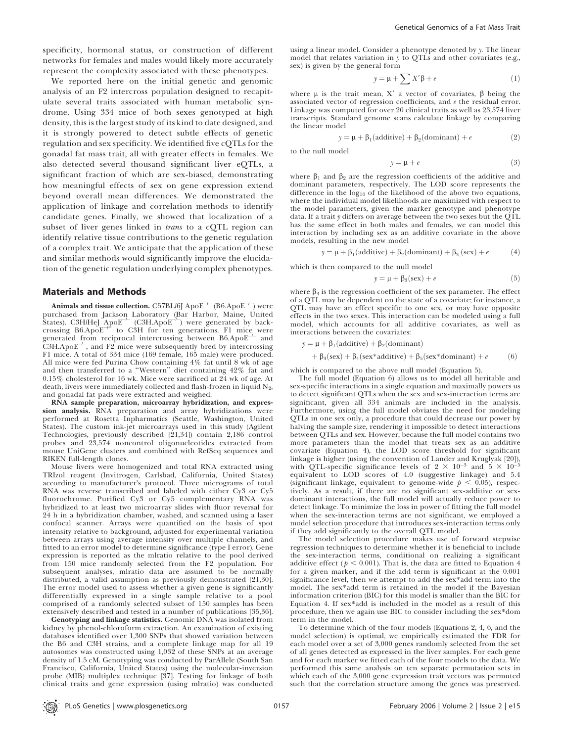specificity, hormonal status, or construction of different networks for females and males would likely more accurately represent the complexity associated with these phenotypes.

We reported here on the initial genetic and genomic analysis of an F2 intercross population designed to recapitulate several traits associated with human metabolic syndrome. Using 334 mice of both sexes genotyped at high density, this is the largest study of its kind to date designed, and it is strongly powered to detect subtle effects of genetic regulation and sex specificity. We identified five cQTLs for the gonadal fat mass trait, all with greater effects in females. We also detected several thousand significant liver eQTLs, a significant fraction of which are sex-biased, demonstrating how meaningful effects of sex on gene expression extend beyond overall mean differences. We demonstrated the application of linkage and correlation methods to identify candidate genes. Finally, we showed that localization of a subset of liver genes linked in *trans* to a cQTL region can identify relative tissue contributions to the genetic regulation of a complex trait. We anticipate that the application of these and similar methods would significantly improve the elucidation of the genetic regulation underlying complex phenotypes.

## Materials and Methods

Animals and tissue collection. C57BL/6J Apo $E^{-/-}$  (B6.Apo $E^{-/-}$ ) were purchased from Jackson Laboratory (Bar Harbor, Maine, United<br>States). C3H/HeJ ApoE<sup>-/-</sup> (C3H.ApoE<sup>-/-</sup>) were generated by backcrossing  $B6. \text{ApoE}^{-1}$  to C3H for ten generations. F1 mice were generated from reciprocal intercrossing between  $B6. ApoE^{-/-}$  and  $C3H$ .Apo $E^{-/-}$ , and F2 mice were subsequently bred by intercrossing F1 mice. A total of 334 mice (169 female, 165 male) were produced. All mice were fed Purina Chow containing 4% fat until 8 wk of age and then transferred to a ''Western'' diet containing 42% fat and  $0.15\%$  cholesterol for 16 wk. Mice were sacrificed at  $24$  wk of age. At death, livers were immediately collected and flash-frozen in liquid  $N_2$ , and gonadal fat pads were extracted and weighed.

RNA sample preparation, microarray hybridization, and expression analysis. RNA preparation and array hybridizations were performed at Rosetta Inpharmatics (Seattle, Washington, United States). The custom ink-jet microarrays used in this study (Agilent Technologies, previously described [21,34]) contain 2,186 control probes and 23,574 noncontrol oligonucleotides extracted from mouse UniGene clusters and combined with RefSeq sequences and RIKEN full-length clones.

Mouse livers were homogenized and total RNA extracted using TRIzol reagent (Invitrogen, Carlsbad, California, United States) according to manufacturer's protocol. Three micrograms of total RNA was reverse transcribed and labeled with either Cy3 or Cy5 fluorochrome. Purified Cy3 or Cy5 complementary RNA was hybridized to at least two microarray slides with fluor reversal for 24 h in a hybridization chamber, washed, and scanned using a laser confocal scanner. Arrays were quantified on the basis of spot intensity relative to background, adjusted for experimental variation between arrays using average intensity over multiple channels, and fitted to an error model to determine significance (type I error). Gene expression is reported as the mlratio relative to the pool derived from 150 mice randomly selected from the F2 population. For subsequent analyses, mlratio data are assumed to be normally distributed, a valid assumption as previously demonstrated [21,30]. The error model used to assess whether a given gene is significantly differentially expressed in a single sample relative to a pool comprised of a randomly selected subset of 150 samples has been extensively described and tested in a number of publications [35,36].

Genotyping and linkage statistics. Genomic DNA was isolated from kidney by phenol-chloroform extraction. An examination of existing databases identified over 1,300 SNPs that showed variation between the B6 and C3H strains, and a complete linkage map for all 19 autosomes was constructed using 1,032 of these SNPs at an average density of 1.5 cM. Genotyping was conducted by ParAllele (South San Francisco, California, United States) using the molecular-inversion probe (MIB) multiplex technique [37]. Testing for linkage of both clinical traits and gene expression (using mlratio) was conducted

using a linear model. Consider a phenotype denoted by y. The linear model that relates variation in y to QTLs and other covariates (e.g., sex) is given by the general form

$$
y = \mu + \sum X'\beta + e \tag{1}
$$

where  $\mu$  is the trait mean, X' a vector of covariates,  $\beta$  being the associated vector of regression coefficients, and  $e$  the residual error. Linkage was computed for over 20 clinical traits as well as 23,574 liver transcripts. Standard genome scans calculate linkage by comparing the linear model

$$
y = \mu + \beta_1(\text{additive}) + \beta_2(\text{dominant}) + e \tag{2}
$$

to the null model

$$
y = \mu + e \tag{3}
$$

where  $\beta_1$  and  $\beta_2$  are the regression coefficients of the additive and dominant parameters, respectively. The LOD score represents the difference in the  $log_{10}$  of the likelihood of the above two equations, where the individual model likelihoods are maximized with respect to the model parameters, given the marker genotype and phenotype data. If a trait y differs on average between the two sexes but the QTL has the same effect in both males and females, we can model this interaction by including sex as an additive covariate in the above models, resulting in the new model

 $y = \mu + \beta_1(\text{additive}) + \beta_2(\text{dominant}) + \beta_3(\text{sex}) + e$  (4)

which is then compared to the null model

$$
y = \mu + \beta_3(\text{sex}) + e \tag{5}
$$

where  $\beta_3$  is the regression coefficient of the sex parameter. The effect of a QTL may be dependent on the state of a covariate; for instance, a QTL may have an effect specific to one sex, or may have opposite effects in the two sexes. This interaction can be modeled using a full model, which accounts for all additive covariates, as well as interactions between the covariates:

$$
y = \mu + \beta_1(\text{additive}) + \beta_2(\text{dominant})
$$
  
+  $\beta_3(\text{sex}) + \beta_4(\text{sex}^* \text{additive}) + \beta_5(\text{sex}^* \text{dominant}) + e$  (6)

which is compared to the above null model (Equation 5).

The full model (Equation 6) allows us to model all heritable and sex-specific interactions in a single equation and maximally powers us to detect significant QTLs when the sex and sex-interaction terms are significant, given all 334 animals are included in the analysis. Furthermore, using the full model obviates the need for modeling QTLs in one sex only, a procedure that could decrease our power by halving the sample size, rendering it impossible to detect interactions between QTLs and sex. However, because the full model contains two more parameters than the model that treats sex as an additive covariate (Equation 4), the LOD score threshold for significant linkage is higher (using the convention of Lander and Kruglyak [20]), with QTL-specific significance levels of  $2 \times 10^{-3}$  and  $5 \times 10^{-5}$ equivalent to LOD scores of 4.0 (suggestive linkage) and 5.4 (significant linkage, equivalent to genome-wide  $p < 0.05$ ), respectively. As a result, if there are no significant sex-additive or sexdominant interactions, the full model will actually reduce power to detect linkage. To minimize the loss in power of fitting the full model when the sex-interaction terms are not significant, we employed a model selection procedure that introduces sex-interaction terms only if they add significantly to the overall QTL model.

The model selection procedure makes use of forward stepwise regression techniques to determine whether it is beneficial to include the sex-interaction terms, conditional on realizing a significant additive effect ( $p < 0.001$ ). That is, the data are fitted to Equation 4 for a given marker, and if the add term is significant at the 0.001 significance level, then we attempt to add the sex\*add term into the model. The sex\*add term is retained in the model if the Bayesian information criterion (BIC) for this model is smaller than the BIC for Equation 4. If sex\*add is included in the model as a result of this procedure, then we again use BIC to consider including the sex\*dom term in the model.

To determine which of the four models (Equations 2, 4, 6, and the model selection) is optimal, we empirically estimated the FDR for each model over a set of 3,000 genes randomly selected from the set of all genes detected as expressed in the liver samples. For each gene and for each marker we fitted each of the four models to the data. We performed this same analysis on ten separate permutation sets in which each of the 3,000 gene expression trait vectors was permuted such that the correlation structure among the genes was preserved.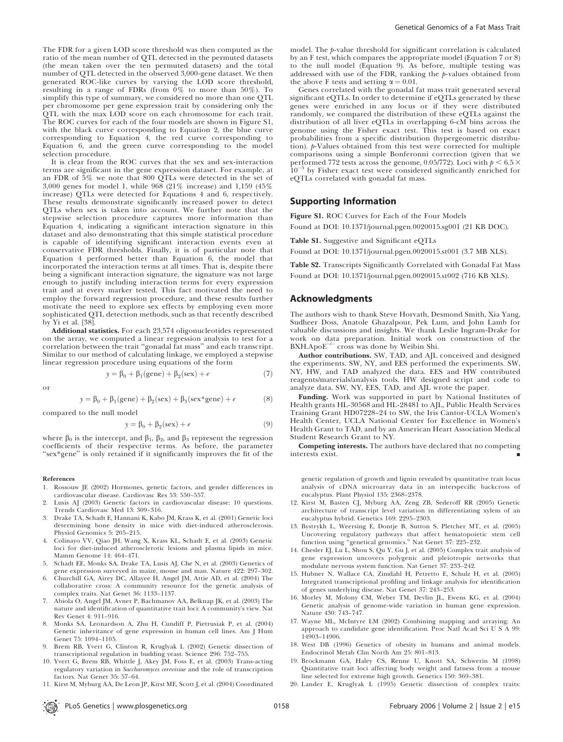The FDR for a given LOD score threshold was then computed as the ratio of the mean number of QTL detected in the permuted datasets (the mean taken over the ten permuted datasets) and the total number of QTL detected in the observed 3,000-gene dataset. We then generated ROC-like curves by varying the LOD score threshold, resulting in a range of FDRs (from  $0\%$  to more than  $50\%$ ). To simplify this type of summary, we considered no more than one QTL per chromosome per gene expression trait by considering only the QTL with the max LOD score on each chromosome for each trait. The ROC curves for each of the four models are shown in Figure S1, with the black curve corresponding to Equation 2, the blue curve corresponding to Equation 4, the red curve corresponding to Equation 6, and the green curve corresponding to the model selection procedure.

It is clear from the ROC curves that the sex and sex-interaction terms are significant in the gene expression dataset. For example, at an FDR of 5% we note that 800 QTLs were detected in the set of 3,000 genes for model 1, while  $968$  (21% increase) and 1,159 (45% increase) QTLs were detected for Equations 4 and 6, respectively. These results demonstrate significantly increased power to detect QTLs when sex is taken into account. We further note that the stepwise selection procedure captures more information than Equation 4, indicating a significant interaction signature in this dataset and also demonstrating that this simple statistical procedure is capable of identifying significant interaction events even at conservative FDR thresholds. Finally, it is of particular note that Equation 4 performed better than Equation 6, the model that incorporated the interaction terms at all times. That is, despite there being a significant interaction signature, the signature was not large enough to justify including interaction terms for every expression trait and at every marker tested. This fact motivated the need to employ the forward regression procedure, and these results further motivate the need to explore sex effects by employing even more sophisticated QTL detection methods, such as that recently described by Yi et al. [38].

Additional statistics. For each 23,574 oligonucleotides represented on the array, we computed a linear regression analysis to test for a correlation between the trait ''gonadal fat mass'' and each transcript. Similar to our method of calculating linkage, we employed a stepwise linear regression procedure using equations of the form

$$
y = \beta_0 + \beta_1(\text{gene}) + \beta_2(\text{sex}) + e \tag{7}
$$

$$
\quad \text{or} \quad
$$

$$
y = \beta_0 + \beta_1(\text{gene}) + \beta_2(\text{sex}) + \beta_3(\text{sex*gene}) + e \tag{8}
$$

compared to the null model

$$
y = \beta_0 + \beta_2(\text{sex}) + e \tag{9}
$$

where  $\beta_0$  is the intercept, and  $\beta_1$ ,  $\beta_2$ , and  $\beta_3$  represent the regression coefficients of their respective terms. As before, the parameter ''sex\*gene'' is only retained if it significantly improves the fit of the

#### References

- 1. Rossouw JE (2002) Hormones, genetic factors, and gender differences in cardiovascular disease. Cardiovasc Res 53: 550–557.
- 2. Lusis AJ (2003) Genetic factors in cardiovascular disease: 10 questions. Trends Cardiovasc Med 13: 309–316.
- 3. Drake TA, Schadt E, Hannani K, Kabo JM, Krass K, et al. (2001) Genetic loci determining bone density in mice with diet-induced atherosclerosis. Physiol Genomics 5: 205–215.
- 4. Colinayo VV, Qiao JH, Wang X, Krass KL, Schadt E, et al. (2003) Genetic loci for diet-induced atherosclerotic lesions and plasma lipids in mice. Mamm Genome 14: 464–471.
- 5. Schadt EE, Monks SA, Drake TA, Lusis AJ, Che N, et al. (2003) Genetics of gene expression surveyed in maize, mouse and man. Nature 422: 297–302.
- 6. Churchill GA, Airey DC, Allayee H, Angel JM, Attie AD, et al. (2004) The collaborative cross: A community resource for the genetic analysis of complex traits. Nat Genet 36: 1133–1137.
- 7. Abiola O, Angel JM, Avner P, Bachmanov AA, Belknap JK, et al. (2003) The nature and identification of quantitative trait loci: A community's view. Nat Rev Genet 4: 911–916.
- 8. Monks SA, Leonardson A, Zhu H, Cundiff P, Pietrusiak P, et al. (2004) Genetic inheritance of gene expression in human cell lines. Am J Hum Genet 75: 1094–1105.
- 9. Brem RB, Yvert G, Clinton R, Kruglyak L (2002) Genetic dissection of transcriptional regulation in budding yeast. Science 296: 752–755.
- 10. Yvert G, Brem RB, Whittle J, Akey JM, Foss E, et al. (2003) Trans-acting regulatory variation in Saccharomyces cerevisiae and the role of transcription factors. Nat Genet 35: 57–64.
- 11. Kirst M, Myburg AA, De Leon JP, Kirst ME, Scott J, et al. (2004) Coordinated

model. The p-value threshold for significant correlation is calculated by an F test, which compares the appropriate model (Equation 7 or 8) to the null model (Equation 9). As before, multiple testing was addressed with use of the FDR, ranking the  $p$ -values obtained from the above F tests and setting  $\alpha = 0.01$ .

Genes correlated with the gonadal fat mass trait generated several significant eQTLs. In order to determine if eQTLs generated by these genes were enriched in any locus or if they were distributed randomly, we compared the distribution of these eQTLs against the distribution of all liver eQTLs in overlapping 6-cM bins across the genome using the Fisher exact test. This test is based on exact probabilities from a specific distribution (hypergeometric distribution).  $b$ -Values obtained from this test were corrected for multiple comparisons using a simple Bonferonni correction (given that we performed 772 tests across the genome, 0.05/772). Loci with  $p < 6.5 \times$  $10^{-5}$  by Fisher exact test were considered significantly enriched for eQTLs correlated with gonadal fat mass.

#### Supporting Information

Figure S1. ROC Curves for Each of the Four Models Found at DOI: 10.1371/journal.pgen.0020015.sg001 (21 KB DOC).

Table S1. Suggestive and Significant eQTLs

Found at DOI: 10.1371/journal.pgen.0020015.st001 (3.7 MB XLS).

Table S2. Transcripts Significantly Correlated with Gonadal Fat Mass Found at DOI: 10.1371/journal.pgen.0020015.st002 (716 KB XLS).

## Acknowledgments

The authors wish to thank Steve Horvath, Desmond Smith, Xia Yang, Sudheer Doss, Anatole Ghazalpour, Pek Lum, and John Lamb for valuable discussions and insights. We thank Leslie Ingram-Drake for work on data preparation. Initial work on construction of the  $BXH$ .Apo $E^{-/-}$  cross was done by Weibin Shi.

Author contributions. SW, TAD, and AJL conceived and designed the experiments. SW, NY, and EES performed the experiments. SW, NY, HW, and TAD analyzed the data. EES and HW contributed reagents/materials/analysis tools. HW designed script and code to analyze data. SW, NY, EES, TAD, and AJL wrote the paper.

Funding. Work was supported in part by National Institutes of Health grants HL-30568 and HL-28481 to AJL, Public Health Services Training Grant HD07228–24 to SW, the Iris Cantor-UCLA Women's Health Center, UCLA National Center for Excellence in Women's Health Grant to TAD, and by an American Heart Association Medical Student Research Grant to NY.

Competing interests. The authors have declared that no competing interests exist. *&*

genetic regulation of growth and lignin revealed by quantitative trait locus analysis of cDNA microarray data in an interspecific backcross of eucalyptus. Plant Physiol 135: 2368–2378.

- 12. Kirst M, Basten CJ, Myburg AA, Zeng ZB, Sederoff RR (2005) Genetic architecture of transcript level variation in differentiating xylem of an eucalyptus hybrid. Genetics 169: 2295–2303.
- 13. Bystrykh L, Weersing E, Dontje B, Sutton S, Pletcher MT, et al. (2005) Uncovering regulatory pathways that affect hematopoietic stem cell function using ''genetical genomics.'' Nat Genet 37: 225–232.
- 14. Chesler EJ, Lu L, Shou S, Qu Y, Gu J, et al. (2005) Complex trait analysis of gene expression uncovers polygenic and pleiotropic networks that modulate nervous system function. Nat Genet 37: 233–242.
- 15. Hubner N, Wallace CA, Zimdahl H, Petretto E, Schulz H, et al. (2005) Integrated transcriptional profiling and linkage analysis for identification of genes underlying disease. Nat Genet 37: 243–253.
- 16. Morley M, Molony CM, Weber TM, Devlin JL, Ewens KG, et al. (2004) Genetic analysis of genome-wide variation in human gene expression. Nature 430: 743–747.
- 17. Wayne ML, McIntyre LM (2002) Combining mapping and arraying: An approach to candidate gene identification. Proc Natl Acad Sci U S A 99: 14903–14906.
- 18. West DB (1996) Genetics of obesity in humans and animal models. Endocrinol Metab Clin North Am 25: 801–813.
- 19. Brockmann GA, Haley CS, Renne U, Knott SA, Schwerin M (1998) Quantitative trait loci affecting body weight and fatness from a mouse line selected for extreme high growth. Genetics 150: 369–381.
- 20. Lander E, Kruglyak L (1995) Genetic dissection of complex traits: